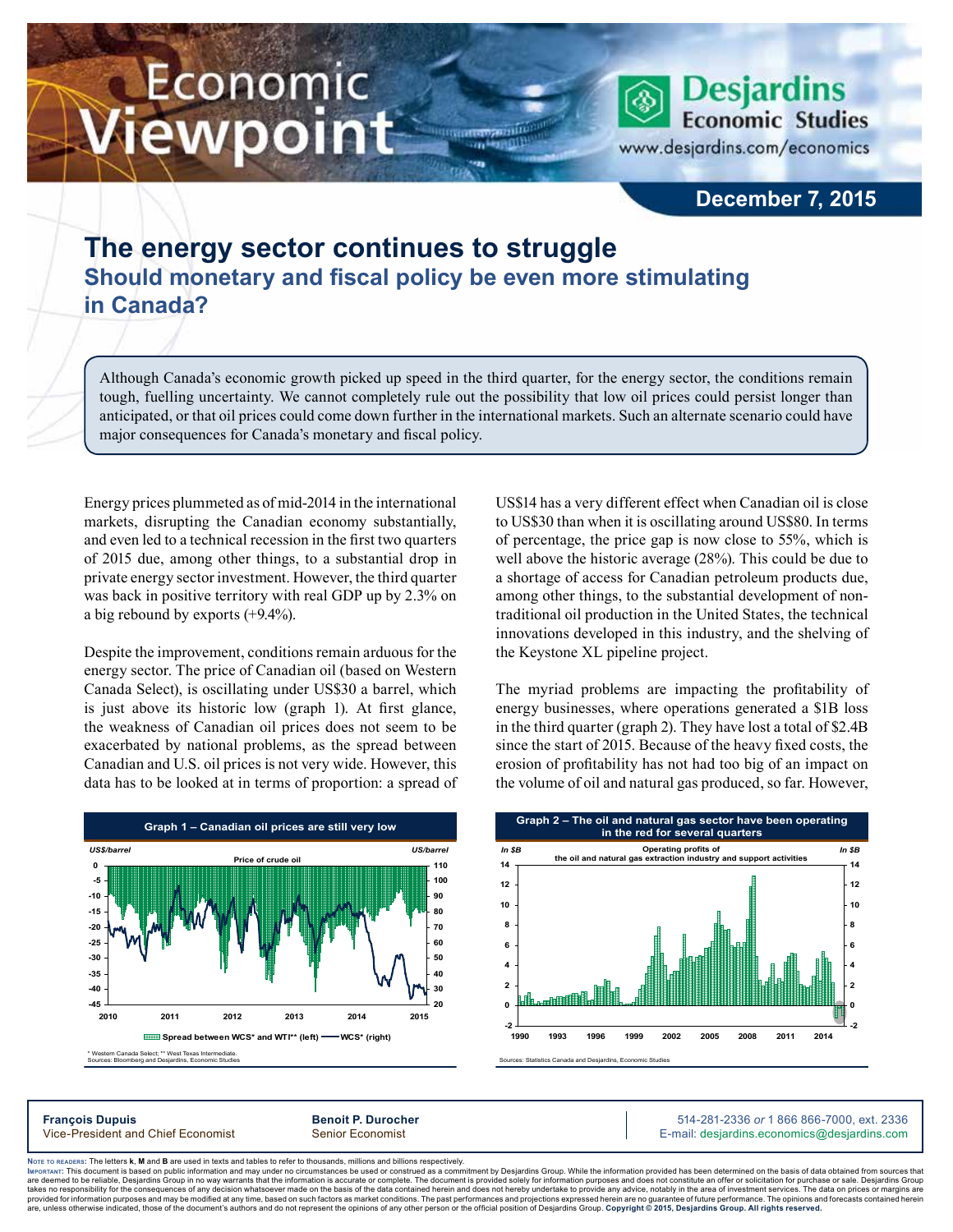## Economic ewpoint

**Economic Studies** www.desjardins.com/economics

**Desjardins** 

## **December 7, 2015**

## **The energy sector continues to struggle Should monetary and fiscal policy be even more stimulating in Canada?**

Although Canada's economic growth picked up speed in the third quarter, for the energy sector, the conditions remain tough, fuelling uncertainty. We cannot completely rule out the possibility that low oil prices could persist longer than anticipated, or that oil prices could come down further in the international markets. Such an alternate scenario could have major consequences for Canada's monetary and fiscal policy.

m

Energy prices plummeted as of mid‑2014 in the international markets, disrupting the Canadian economy substantially, and even led to a technical recession in the first two quarters of 2015 due, among other things, to a substantial drop in private energy sector investment. However, the third quarter was back in positive territory with real GDP up by 2.3% on a big rebound by exports (+9.4%).

Despite the improvement, conditions remain arduous for the energy sector. The price of Canadian oil (based on Western Canada Select), is oscillating under US\$30 a barrel, which is just above its historic low (graph 1). At first glance, the weakness of Canadian oil prices does not seem to be exacerbated by national problems, as the spread between Canadian and U.S. oil prices is not very wide. However, this data has to be looked at in terms of proportion: a spread of US\$14 has a very different effect when Canadian oil is close to US\$30 than when it is oscillating around US\$80. In terms of percentage, the price gap is now close to 55%, which is well above the historic average (28%). This could be due to a shortage of access for Canadian petroleum products due, among other things, to the substantial development of nontraditional oil production in the United States, the technical innovations developed in this industry, and the shelving of the Keystone XL pipeline project.

The myriad problems are impacting the profitability of energy businesses, where operations generated a \$1B loss in the third quarter (graph 2). They have lost a total of \$2.4B since the start of 2015. Because of the heavy fixed costs, the erosion of profitability has not had too big of an impact on the volume of oil and natural gas produced, so far. However,



Sources: Statistics Canada and Desjardins, Economic Studies **Graph 2 – The oil and natural gas sector have been operating in the red for several quarters -2 0 2 4 6 8 10 12 14 1990 1993 1996 1999 2002 2005 2008 2011 2014 -2 0 2 4 6 8 10 12 14 Operating profits of the oil and natural gas extraction industry and support activities** *In \$B In \$B*

**François Dupuis Benoit P. Durocher** 514-281-2336 *or* 1 866 866-7000, ext. 2336 Vice-President and Chief Economist Senior Economist Senior Economist E-mail: desjardins.economics@desjardins.com

Noте то келоекs: The letters **k, M** and **B** are used in texts and tables to refer to thousands, millions and billions respectively.<br>Імроктлит: This document is based on public information and may under no circumstances be are deemed to be reliable. Desiardins Group in no way warrants that the information is accurate or complete. The document is provided solely for information purposes and does not constitute an offer or solicitation for pur takes no responsibility for the consequences of any decision whatsoever made on the basis of the data contained herein and does not hereby undertake to provide any advice, notably in the area of investment services. The da .<br>are, unless otherwise indicated, those of the document's authors and do not represent the opinions of any other person or the official position of Desjardins Group. Copyright © 2015, Desjardins Group. All rights reserve